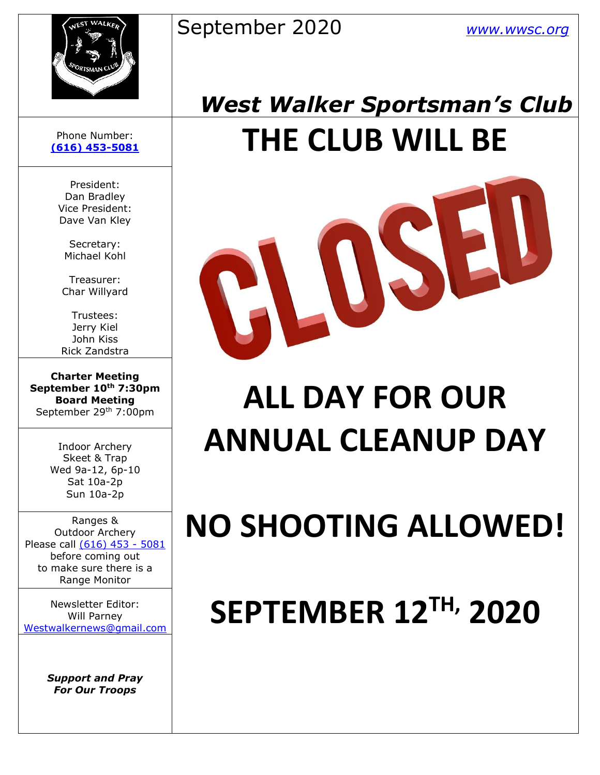#### September 2020 *[www.wwsc.org](http://www.wwsc.org/)*



## *West Walker Sportsman's Club* **[\(616\) 453-5081](https://d.docs.live.net/100b2af0d7ad2324/Documents/wwsc%20newsletters%202019/docx/616)%20453-5081) THE CLUB WILL BE**



# **ALL DAY FOR OUR ANNUAL CLEANUP DAY**

# **NO SHOOTING ALLOWED!**

# **SEPTEMBER 12TH, 2020**

#### Phone Number:

President: Dan Bradley Vice President: Dave Van Kley

Secretary: Michael Kohl

Treasurer: Char Willyard

Trustees: Jerry Kiel John Kiss Rick Zandstra

**Charter Meeting September 10th 7:30pm Board Meeting** September 29<sup>th</sup> 7:00pm

> Indoor Archery Skeet & Trap Wed 9a-12, 6p-10 Sat 10a-2p Sun 10a-2p

Ranges & Outdoor Archery Please call [\(616\) 453 -](https://d.docs.live.net/100b2af0d7ad2324/Documents/wwsc%20newsletters%202019/docx/616)%20453-5081) 5081 before coming out to make sure there is a Range Monitor

Newsletter Editor: Will Parney [Westwalkernews@gmail.com](mailto:Westwalkernews@gmail.com)

> *Support and Pray For Our Troops*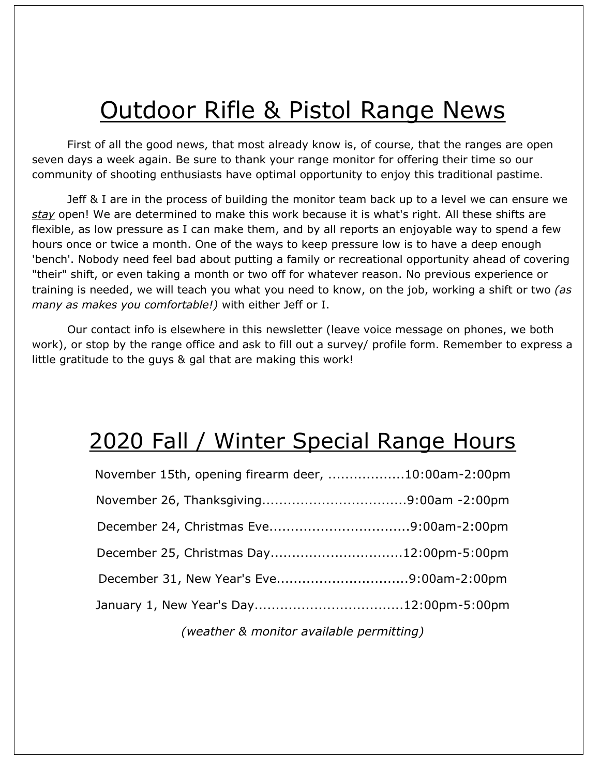## Outdoor Rifle & Pistol Range News

First of all the good news, that most already know is, of course, that the ranges are open seven days a week again. Be sure to thank your range monitor for offering their time so our community of shooting enthusiasts have optimal opportunity to enjoy this traditional pastime.

Jeff & I are in the process of building the monitor team back up to a level we can ensure we *stay* open! We are determined to make this work because it is what's right. All these shifts are flexible, as low pressure as I can make them, and by all reports an enjoyable way to spend a few hours once or twice a month. One of the ways to keep pressure low is to have a deep enough 'bench'. Nobody need feel bad about putting a family or recreational opportunity ahead of covering "their" shift, or even taking a month or two off for whatever reason. No previous experience or training is needed, we will teach you what you need to know, on the job, working a shift or two *(as many as makes you comfortable!)* with either Jeff or I.

Our contact info is elsewhere in this newsletter (leave voice message on phones, we both work), or stop by the range office and ask to fill out a survey/ profile form. Remember to express a little gratitude to the guys & gal that are making this work!

#### 2020 Fall / Winter Special Range Hours

| November 15th, opening firearm deer, 10:00am-2:00pm |  |
|-----------------------------------------------------|--|
|                                                     |  |
|                                                     |  |
| December 25, Christmas Day12:00pm-5:00pm            |  |
| December 31, New Year's Eve9:00am-2:00pm            |  |
|                                                     |  |
|                                                     |  |

*(weather & monitor available permitting)*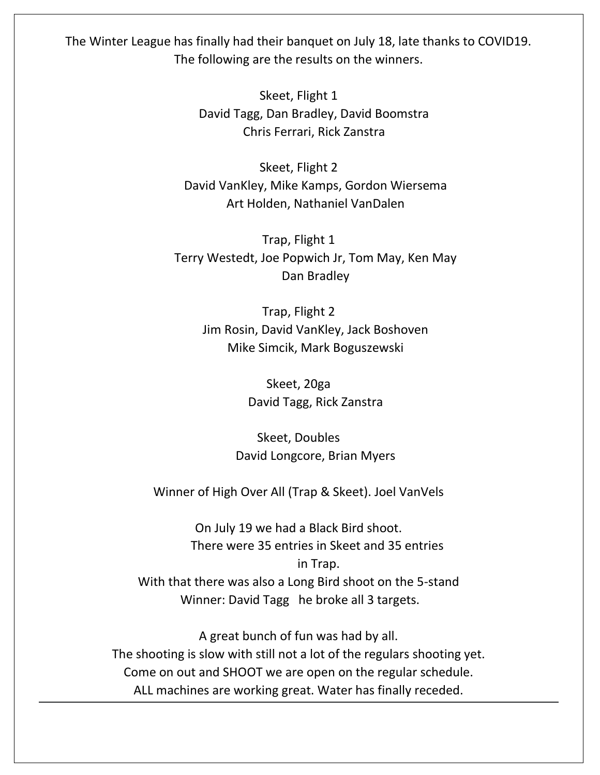The Winter League has finally had their banquet on July 18, late thanks to COVID19. The following are the results on the winners.

> Skeet, Flight 1 David Tagg, Dan Bradley, David Boomstra Chris Ferrari, Rick Zanstra

Skeet, Flight 2 David VanKley, Mike Kamps, Gordon Wiersema Art Holden, Nathaniel VanDalen

Trap, Flight 1 Terry Westedt, Joe Popwich Jr, Tom May, Ken May Dan Bradley

Trap, Flight 2 Jim Rosin, David VanKley, Jack Boshoven Mike Simcik, Mark Boguszewski

> Skeet, 20ga David Tagg, Rick Zanstra

Skeet, Doubles David Longcore, Brian Myers

Winner of High Over All (Trap & Skeet). Joel VanVels

On July 19 we had a Black Bird shoot. There were 35 entries in Skeet and 35 entries in Trap. With that there was also a Long Bird shoot on the 5-stand Winner: David Tagg he broke all 3 targets.

A great bunch of fun was had by all. The shooting is slow with still not a lot of the regulars shooting yet. Come on out and SHOOT we are open on the regular schedule. ALL machines are working great. Water has finally receded.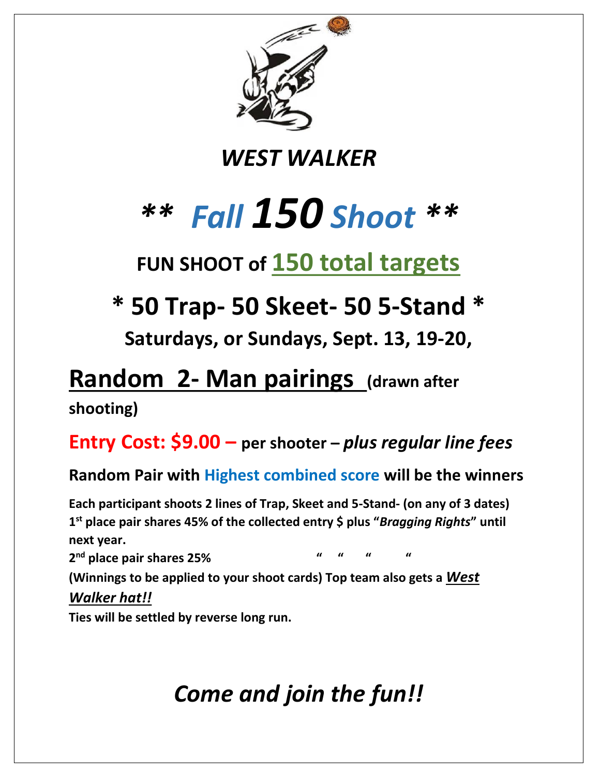

#### *WEST WALKER*

# *\*\* Fall 150 Shoot \*\**

## **FUN SHOOT of 150 total targets**

## **\* 50 Trap- 50 Skeet- 50 5-Stand \***

**Saturdays, or Sundays, Sept. 13, 19-20,**

### **Random 2- Man pairings (drawn after**

**shooting)**

#### **Entry Cost: \$9.00 – per shooter –** *plus regular line fees*

#### **Random Pair with Highest combined score will be the winners**

**Each participant shoots 2 lines of Trap, Skeet and 5-Stand- (on any of 3 dates) 1 st place pair shares 45% of the collected entry \$ plus "***Bragging Rights***" until next year.**

**2 nd place pair shares 25% " " " "**

**(Winnings to be applied to your shoot cards) Top team also gets a** *West Walker hat!!*

**Ties will be settled by reverse long run.**

## *Come and join the fun!!*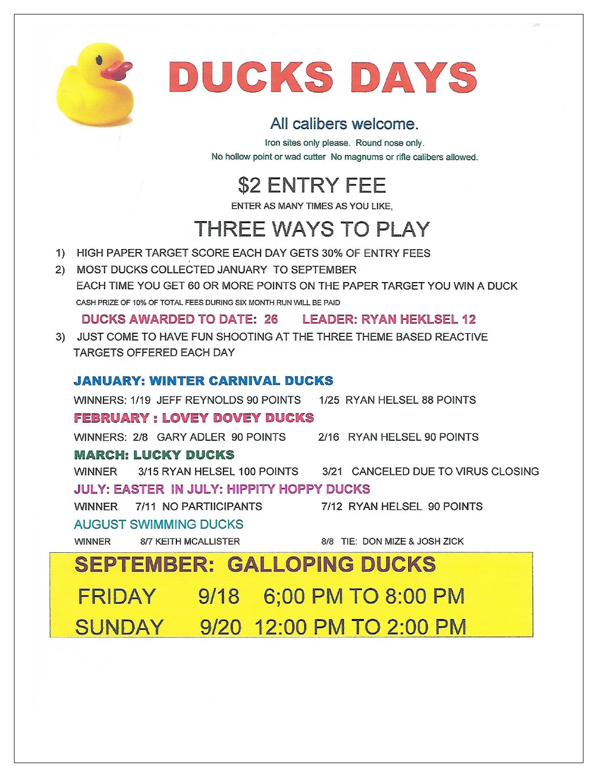

# DUCKS DAYS

#### All calibers welcome.

Iron sites only please. Round nose only. No hollow point or wad cutter No magnums or rifle calibers allowed.

**\$2 ENTRY FEE** 

ENTER AS MANY TIMES AS YOU LIKE.

#### **THREE WAYS TO PLAY**

- 1) HIGH PAPER TARGET SCORE EACH DAY GETS 30% OF ENTRY FEES
- 2) MOST DUCKS COLLECTED JANUARY TO SEPTEMBER EACH TIME YOU GET 60 OR MORE POINTS ON THE PAPER TARGET YOU WIN A DUCK CASH PRIZE OF 10% OF TOTAL FEES DURING SIX MONTH RUN WILL BE PAID

DUCKS AWARDED TO DATE: 26 LEADER: RYAN HEKLSEL 12

3) JUST COME TO HAVE FUN SHOOTING AT THE THREE THEME BASED REACTIVE **TARGETS OFFERED EACH DAY** 

#### **JANUARY: WINTER CARNIVAL DUCKS**

WINNERS: 1/19 JEFF REYNOLDS 90 POINTS 1/25 RYAN HELSEL 88 POINTS **FEBRUARY: LOVEY DOVEY DUCKS** WINNERS: 2/8 GARY ADLER 90 POINTS 2/16 RYAN HELSEL 90 POINTS **MARCH: LUCKY DUCKS WINNER** 3/15 RYAN HELSEL 100 POINTS 3/21 CANCELED DUE TO VIRUS CLOSING **JULY: EASTER IN JULY: HIPPITY HOPPY DUCKS** WINNER 7/11 NO PARTIICIPANTS 7/12 RYAN HELSEL 90 POINTS **AUGUST SWIMMING DUCKS WINNER 8/7 KEITH MCALLISTER** 8/8 TIE: DON MIZE & JOSH ZICK **SEPTEMBER: GALLOPING DUCKS** FRIDAY 9/18 6;00 PM TO 8:00 PM SUNDAY 9/20 12:00 PM TO 2:00 PM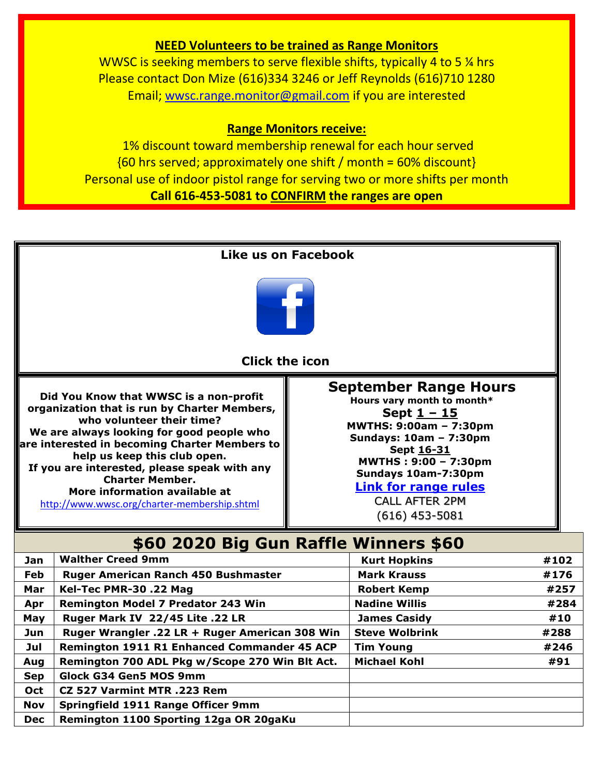#### **NEED Volunteers to be trained as Range Monitors**

WWSC is seeking members to serve flexible shifts, typically 4 to 5 % hrs Please contact Don Mize (616)334 3246 or Jeff Reynolds (616)710 1280 Email; [wwsc.range.monitor@gmail.com](mailto:wwsc.range.monitor@gmail.com) if you are interested

#### **Range Monitors receive:**

1% discount toward membership renewal for each hour served  ${60 \text{ hrs}$  served; approximately one shift / month = 60% discount} Personal use of indoor pistol range for serving two or more shifts per month **Call 616-453-5081 to CONFIRM the ranges are open**